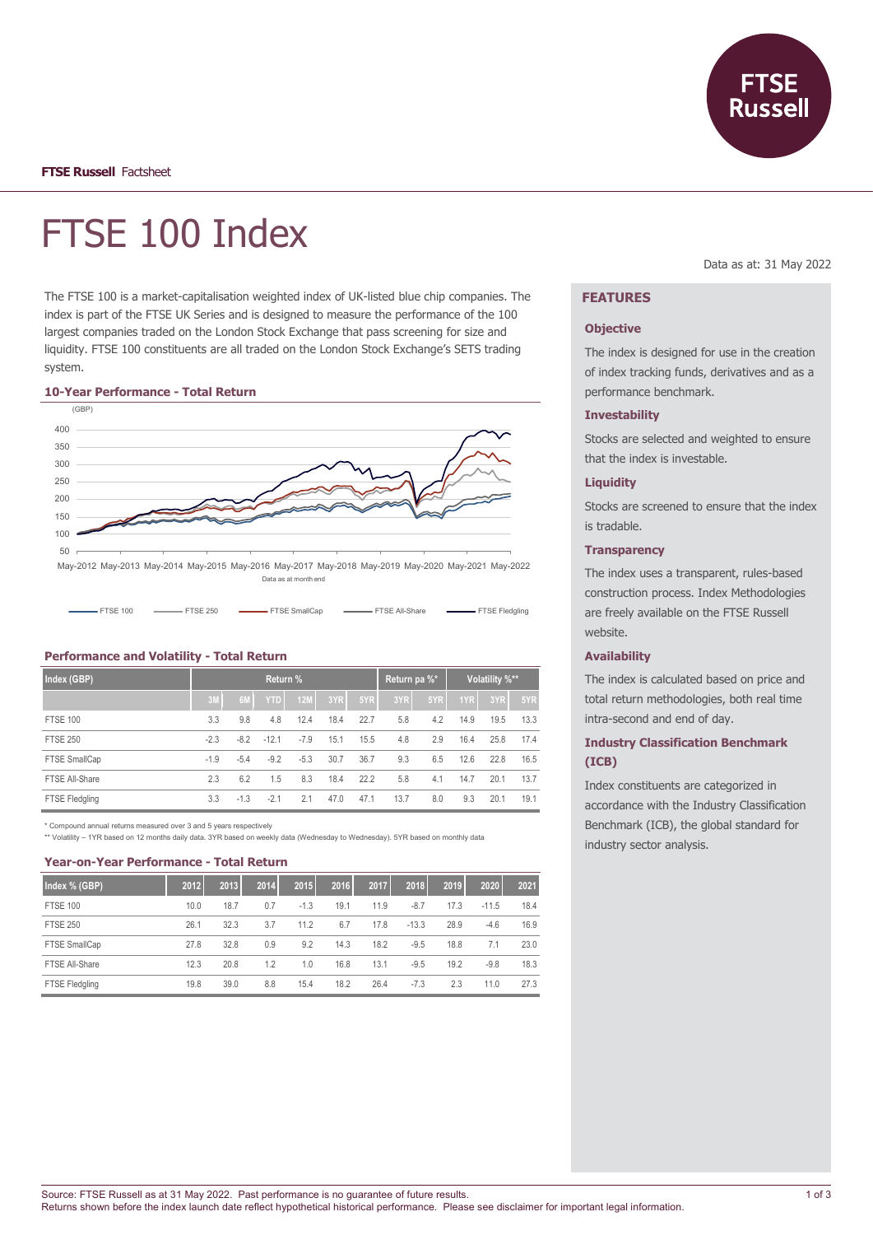

# FTSE 100 Index

The FTSE 100 is a market-capitalisation weighted index of UK-listed blue chip companies. The index is part of the FTSE UK Series and is designed to measure the performance of the 100 largest companies traded on the London Stock Exchange that pass screening for size and liquidity. FTSE 100 constituents are all traded on the London Stock Exchange's SETS trading system.

#### **10-Year Performance - Total Return**



## **Index (GBP) Return % Return pa %\* Volatility %\*\* 3M 6M YTD 12M 3YR 5YR 3YR 5YR 1YR 3YR 5YR** FTSE 100 3.3 9.8 4.8 12.4 18.4 22.7 5.8 4.2 14.9 19.5 13.3 FTSE 250 -2.3 -8.2 -12.1 -7.9 15.1 15.5 4.8 2.9 16.4 25.8 17.4 FTSE SmallCap -1.9 -5.4 -9.2 -5.3 30.7 36.7 9.3 6.5 12.6 22.8 16.5 FTSE All-Share 2.3 6.2 1.5 8.3 18.4 22.2 5.8 4.1 14.7 20.1 13.7 FTSE Fledgling 3.3 -1.3 -2.1 2.1 47.0 47.1 13.7 8.0 9.3 20.1 19.1

\* Compound annual returns measured over 3 and 5 years respectively \*\* Volatility – 1YR based on 12 months daily data. 3YR based on weekly data (Wednesday to Wednesday). 5YR based on monthly data

#### **Year-on-Year Performance - Total Return**

**Performance and Volatility - Total Return**

| Index % (GBP)   | 2012 | 2013 | 2014 | 2015   | 2016 | 2017 | 2018    | 2019 | 2020    | 2021 |
|-----------------|------|------|------|--------|------|------|---------|------|---------|------|
| <b>FTSE 100</b> | 10.0 | 18.7 | 0.7  | $-1.3$ | 19.1 | 11.9 | $-8.7$  | 17.3 | $-11.5$ | 18.4 |
| <b>FTSE 250</b> | 26.1 | 32.3 | 3.7  | 11.2   | 6.7  | 17.8 | $-13.3$ | 28.9 | $-4.6$  | 16.9 |
| FTSE SmallCap   | 27.8 | 32.8 | 0.9  | 9.2    | 14.3 | 18.2 | $-9.5$  | 18.8 | 7.1     | 23.0 |
| FTSE All-Share  | 12.3 | 20.8 | 1.2  | 1.0    | 16.8 | 13.1 | $-9.5$  | 19.2 | $-9.8$  | 18.3 |
| FTSE Fledgling  | 19.8 | 39.0 | 8.8  | 15.4   | 18.2 | 26.4 | $-7.3$  | 2.3  | 11.0    | 27.3 |

Data as at: 31 May 2022

## **FEATURES**

#### **Objective**

The index is designed for use in the creation of index tracking funds, derivatives and as a performance benchmark.

#### **Investability**

Stocks are selected and weighted to ensure that the index is investable.

### **Liquidity**

Stocks are screened to ensure that the index is tradable.

#### **Transparency**

The index uses a transparent, rules-based construction process. Index Methodologies are freely available on the FTSE Russell website.

## **Availability**

The index is calculated based on price and total return methodologies, both real time intra-second and end of day.

## **Industry Classification Benchmark (ICB)**

Index constituents are categorized in accordance with the Industry Classification Benchmark (ICB), the global standard for industry sector analysis.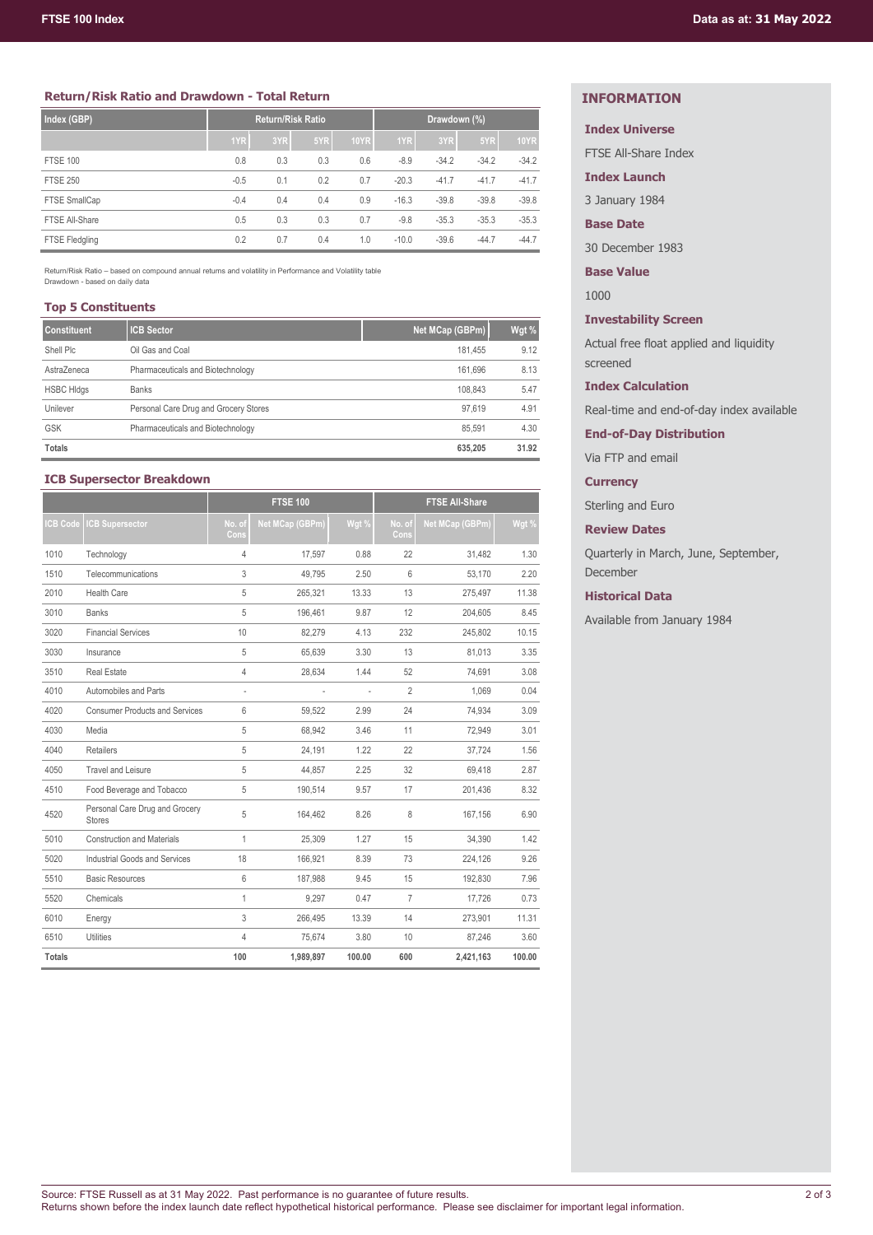## **Return/Risk Ratio and Drawdown - Total Return**

| Index (GBP)           | <b>Return/Risk Ratio</b> |     |     | Drawdown (%) |         |         |         |             |
|-----------------------|--------------------------|-----|-----|--------------|---------|---------|---------|-------------|
|                       | 1YR                      | 3YR | 5YR | <b>10YR</b>  | 1YR     | 3YR     | 5YR     | <b>10YR</b> |
| <b>FTSE 100</b>       | 0.8                      | 0.3 | 0.3 | 0.6          | $-8.9$  | $-34.2$ | $-34.2$ | $-34.2$     |
| <b>FTSE 250</b>       | $-0.5$                   | 0.1 | 0.2 | 0.7          | $-20.3$ | $-41.7$ | $-41.7$ | $-41.7$     |
| FTSE SmallCap         | $-0.4$                   | 0.4 | 0.4 | 0.9          | $-16.3$ | $-39.8$ | $-39.8$ | $-39.8$     |
| FTSE All-Share        | 0.5                      | 0.3 | 0.3 | 0.7          | $-9.8$  | $-35.3$ | $-35.3$ | $-35.3$     |
| <b>FTSE Fledgling</b> | 0.2                      | 0.7 | 0.4 | 1.0          | $-10.0$ | $-39.6$ | $-44.7$ | $-44.7$     |

Return/Risk Ratio – based on compound annual returns and volatility in Performance and Volatility table Drawdown - based on daily data

### **Top 5 Constituents**

| <b>Constituent</b> | <b>ICB Sector</b>                     | Net MCap (GBPm) | Wgt % |
|--------------------|---------------------------------------|-----------------|-------|
| Shell Plc          | Oil Gas and Coal                      | 181.455         | 9.12  |
| AstraZeneca        | Pharmaceuticals and Biotechnology     | 161.696         | 8.13  |
| <b>HSBC HIdgs</b>  | <b>Banks</b>                          | 108.843         | 5.47  |
| Unilever           | Personal Care Drug and Grocery Stores | 97.619          | 4.91  |
| <b>GSK</b>         | Pharmaceuticals and Biotechnology     | 85.591          | 4.30  |
| <b>Totals</b>      |                                       | 635.205         | 31.92 |

## **ICB Supersector Breakdown**

|                |                                                 | <b>FTSE 100</b> |                 |                | <b>FTSE All-Share</b> |                        |        |  |
|----------------|-------------------------------------------------|-----------------|-----------------|----------------|-----------------------|------------------------|--------|--|
| <b>CB Code</b> | <b>CB Supersector</b>                           | No. of<br>Cons  | Net MCap (GBPm) | Wgt %          | No. of<br>Cons        | <b>Net MCap (GBPm)</b> | Wgt %  |  |
| 1010           | Technology                                      | $\overline{4}$  | 17.597          | 0.88           | 22                    | 31.482                 | 1.30   |  |
| 1510           | Telecommunications                              | 3               | 49,795          | 2.50           | 6                     | 53,170                 | 2.20   |  |
| 2010           | <b>Health Care</b>                              | 5               | 265,321         | 13.33          | 13                    | 275,497                | 11.38  |  |
| 3010           | <b>Banks</b>                                    | 5               | 196,461         | 9.87           | 12                    | 204,605                | 8.45   |  |
| 3020           | <b>Financial Services</b>                       | 10              | 82,279          | 4.13           | 232                   | 245,802                | 10.15  |  |
| 3030           | Insurance                                       | 5               | 65,639          | 3.30           | 13                    | 81,013                 | 3.35   |  |
| 3510           | <b>Real Estate</b>                              | 4               | 28,634          | 1.44           | 52                    | 74,691                 | 3.08   |  |
| 4010           | Automobiles and Parts                           | ÷,              | ÷               | $\overline{a}$ | $\overline{2}$        | 1.069                  | 0.04   |  |
| 4020           | <b>Consumer Products and Services</b>           | 6               | 59,522          | 2.99           | 24                    | 74,934                 | 3.09   |  |
| 4030           | Media                                           | 5               | 68,942          | 3.46           | 11                    | 72,949                 | 3.01   |  |
| 4040           | <b>Retailers</b>                                | 5               | 24.191          | 1.22           | 22                    | 37.724                 | 1.56   |  |
| 4050           | <b>Travel and Leisure</b>                       | 5               | 44,857          | 2.25           | 32                    | 69,418                 | 2.87   |  |
| 4510           | Food Beverage and Tobacco                       | 5               | 190.514         | 9.57           | 17                    | 201.436                | 8.32   |  |
| 4520           | Personal Care Drug and Grocery<br><b>Stores</b> | 5               | 164.462         | 8.26           | 8                     | 167.156                | 6.90   |  |
| 5010           | <b>Construction and Materials</b>               | $\mathbf{1}$    | 25,309          | 1.27           | 15                    | 34.390                 | 1.42   |  |
| 5020           | Industrial Goods and Services                   | 18              | 166,921         | 8.39           | 73                    | 224,126                | 9.26   |  |
| 5510           | <b>Basic Resources</b>                          | 6               | 187,988         | 9.45           | 15                    | 192,830                | 7.96   |  |
| 5520           | Chemicals                                       | 1               | 9,297           | 0.47           | $\overline{7}$        | 17,726                 | 0.73   |  |
| 6010           | Energy                                          | 3               | 266.495         | 13.39          | 14                    | 273,901                | 11.31  |  |
| 6510           | <b>Utilities</b>                                | $\overline{4}$  | 75,674          | 3.80           | 10                    | 87,246                 | 3.60   |  |
| <b>Totals</b>  |                                                 | 100             | 1,989,897       | 100.00         | 600                   | 2,421,163              | 100.00 |  |

## **INFORMATION**

## **Index Universe**

FTSE All-Share Index

**Index Launch**

3 January 1984

**Base Date**

30 December 1983

**Base Value**

1000

**Investability Screen**

Actual free float applied and liquidity screened

**Index Calculation**

Real-time and end-of-day index available

**End-of-Day Distribution**

Via FTP and email

**Currency**

Sterling and Euro

**Review Dates**

Quarterly in March, June, September, December

## **Historical Data**

Available from January 1984